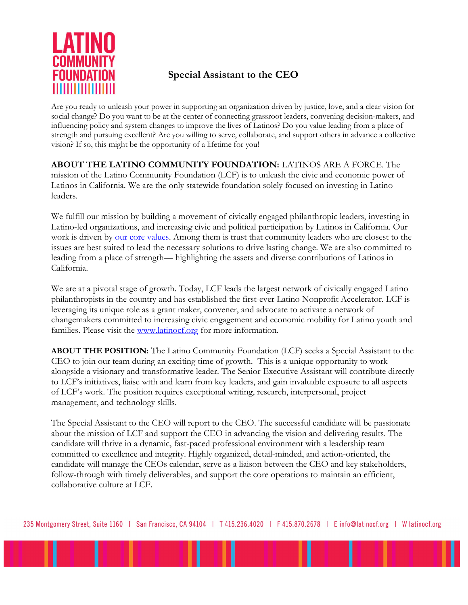

# Special Assistant to the CEO

Are you ready to unleash your power in supporting an organization driven by justice, love, and a clear vision for social change? Do you want to be at the center of connecting grassroot leaders, convening decision-makers, and influencing policy and system changes to improve the lives of Latinos? Do you value leading from a place of strength and pursuing excellent? Are you willing to serve, collaborate, and support others in advance a collective vision? If so, this might be the opportunity of a lifetime for you!

ABOUT THE LATINO COMMUNITY FOUNDATION: LATINOS ARE A FORCE. The mission of the Latino Community Foundation (LCF) is to unleash the civic and economic power of Latinos in California. We are the only statewide foundation solely focused on investing in Latino leaders.

We fulfill our mission by building a movement of civically engaged philanthropic leaders, investing in Latino-led organizations, and increasing civic and political participation by Latinos in California. Our work is driven by our core values. Among them is trust that community leaders who are closest to the issues are best suited to lead the necessary solutions to drive lasting change. We are also committed to leading from a place of strength— highlighting the assets and diverse contributions of Latinos in California.

We are at a pivotal stage of growth. Today, LCF leads the largest network of civically engaged Latino philanthropists in the country and has established the first-ever Latino Nonprofit Accelerator. LCF is leveraging its unique role as a grant maker, convener, and advocate to activate a network of changemakers committed to increasing civic engagement and economic mobility for Latino youth and families. Please visit the www.latinocf.org for more information.

ABOUT THE POSITION: The Latino Community Foundation (LCF) seeks a Special Assistant to the CEO to join our team during an exciting time of growth. This is a unique opportunity to work alongside a visionary and transformative leader. The Senior Executive Assistant will contribute directly to LCF's initiatives, liaise with and learn from key leaders, and gain invaluable exposure to all aspects of LCF's work. The position requires exceptional writing, research, interpersonal, project management, and technology skills.

The Special Assistant to the CEO will report to the CEO. The successful candidate will be passionate about the mission of LCF and support the CEO in advancing the vision and delivering results. The candidate will thrive in a dynamic, fast-paced professional environment with a leadership team committed to excellence and integrity. Highly organized, detail-minded, and action-oriented, the candidate will manage the CEOs calendar, serve as a liaison between the CEO and key stakeholders, follow-through with timely deliverables, and support the core operations to maintain an efficient, collaborative culture at LCF.

235 Montgomery Street, Suite 1160 | San Francisco, CA 94104 | T 415.236.4020 | F 415.870.2678 | E info@latinocf.org | W latinocf.org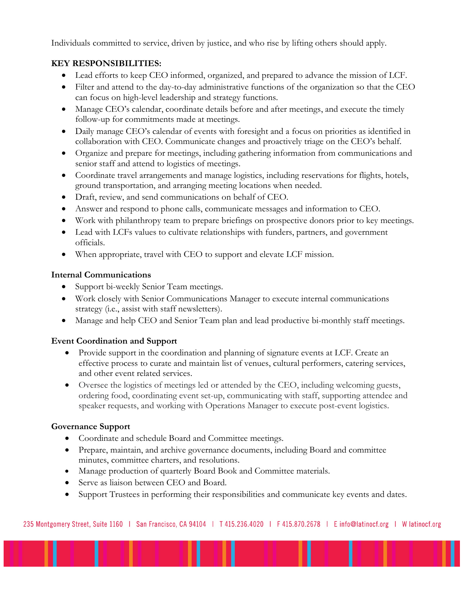Individuals committed to service, driven by justice, and who rise by lifting others should apply.

## KEY RESPONSIBILITIES:

- Lead efforts to keep CEO informed, organized, and prepared to advance the mission of LCF.
- Filter and attend to the day-to-day administrative functions of the organization so that the CEO can focus on high-level leadership and strategy functions.
- Manage CEO's calendar, coordinate details before and after meetings, and execute the timely follow-up for commitments made at meetings.
- Daily manage CEO's calendar of events with foresight and a focus on priorities as identified in collaboration with CEO. Communicate changes and proactively triage on the CEO's behalf.
- Organize and prepare for meetings, including gathering information from communications and senior staff and attend to logistics of meetings.
- Coordinate travel arrangements and manage logistics, including reservations for flights, hotels, ground transportation, and arranging meeting locations when needed.
- Draft, review, and send communications on behalf of CEO.
- Answer and respond to phone calls, communicate messages and information to CEO.
- Work with philanthropy team to prepare briefings on prospective donors prior to key meetings.
- Lead with LCFs values to cultivate relationships with funders, partners, and government officials.
- When appropriate, travel with CEO to support and elevate LCF mission.

## Internal Communications

- Support bi-weekly Senior Team meetings.
- Work closely with Senior Communications Manager to execute internal communications strategy (i.e., assist with staff newsletters).
- Manage and help CEO and Senior Team plan and lead productive bi-monthly staff meetings.

## Event Coordination and Support

- Provide support in the coordination and planning of signature events at LCF. Create an effective process to curate and maintain list of venues, cultural performers, catering services, and other event related services.
- Oversee the logistics of meetings led or attended by the CEO, including welcoming guests, ordering food, coordinating event set-up, communicating with staff, supporting attendee and speaker requests, and working with Operations Manager to execute post-event logistics.

## Governance Support

- Coordinate and schedule Board and Committee meetings.
- Prepare, maintain, and archive governance documents, including Board and committee minutes, committee charters, and resolutions.
- Manage production of quarterly Board Book and Committee materials.
- Serve as liaison between CEO and Board.
- Support Trustees in performing their responsibilities and communicate key events and dates.